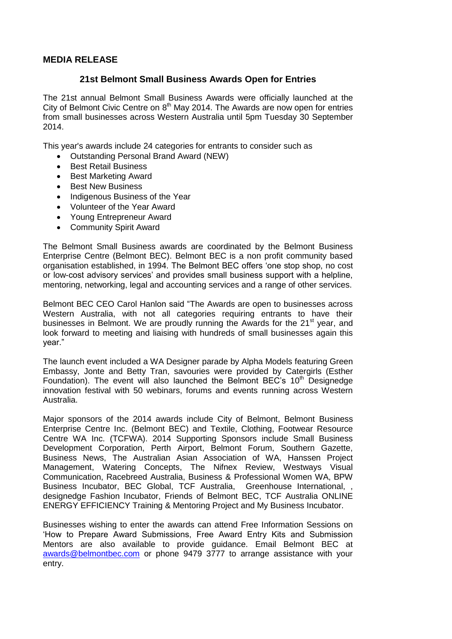## **MEDIA RELEASE**

## **21st Belmont Small Business Awards Open for Entries**

The 21st annual Belmont Small Business Awards were officially launched at the City of Belmont Civic Centre on  $8<sup>th</sup>$  May 2014. The Awards are now open for entries from small businesses across Western Australia until 5pm Tuesday 30 September 2014.

This year's awards include 24 categories for entrants to consider such as

- Outstanding Personal Brand Award (NEW)
- **•** Best Retail Business
- Best Marketing Award
- Best New Business
- Indigenous Business of the Year
- Volunteer of the Year Award
- Young Entrepreneur Award
- Community Spirit Award

The Belmont Small Business awards are coordinated by the Belmont Business Enterprise Centre (Belmont BEC). Belmont BEC is a non profit community based organisation established, in 1994. The Belmont BEC offers 'one stop shop, no cost or low-cost advisory services' and provides small business support with a helpline, mentoring, networking, legal and accounting services and a range of other services.

Belmont BEC CEO Carol Hanlon said "The Awards are open to businesses across Western Australia, with not all categories requiring entrants to have their businesses in Belmont. We are proudly running the Awards for the 21<sup>st</sup> year, and look forward to meeting and liaising with hundreds of small businesses again this year."

The launch event included a WA Designer parade by Alpha Models featuring Green Embassy, Jonte and Betty Tran, savouries were provided by Catergirls (Esther Foundation). The event will also launched the Belmont BEC's 10<sup>th</sup> Designedge innovation festival with 50 webinars, forums and events running across Western Australia.

Major sponsors of the 2014 awards include City of Belmont, Belmont Business Enterprise Centre Inc. (Belmont BEC) and Textile, Clothing, Footwear Resource Centre WA Inc. (TCFWA). 2014 Supporting Sponsors include Small Business Development Corporation, Perth Airport, Belmont Forum, Southern Gazette, Business News, The Australian Asian Association of WA, Hanssen Project Management, Watering Concepts, The Nifnex Review, Westways Visual Communication, Racebreed Australia, Business & Professional Women WA, BPW Business Incubator, BEC Global, TCF Australia, Greenhouse International, designedge Fashion Incubator, Friends of Belmont BEC, TCF Australia ONLINE ENERGY EFFICIENCY Training & Mentoring Project and My Business Incubator.

Businesses wishing to enter the awards can attend Free Information Sessions on 'How to Prepare Award Submissions, Free Award Entry Kits and Submission Mentors are also available to provide guidance. Email Belmont BEC at [awards@belmontbec.com](mailto:awards@belmontbec.com) or phone 9479 3777 to arrange assistance with your entry.